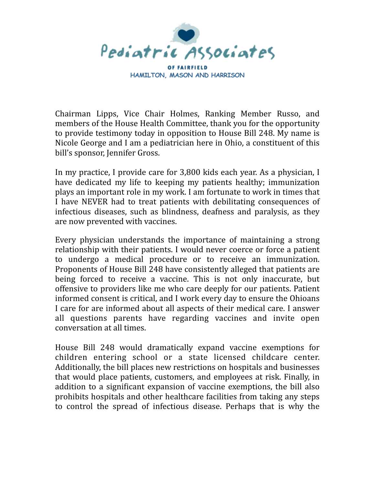

OF FAIRFIELD **HAMILTON, MASON AND HARRISON** 

Chairman Lipps, Vice Chair Holmes, Ranking Member Russo, and members of the House Health Committee, thank you for the opportunity to provide testimony today in opposition to House Bill 248. My name is Nicole George and I am a pediatrician here in Ohio, a constituent of this bill's sponsor, Jennifer Gross.

In my practice, I provide care for 3,800 kids each year. As a physician, I have dedicated my life to keeping my patients healthy; immunization plays an important role in my work. I am fortunate to work in times that I have NEVER had to treat patients with debilitating consequences of infectious diseases, such as blindness, deafness and paralysis, as they are now prevented with vaccines.

Every physician understands the importance of maintaining a strong relationship with their patients. I would never coerce or force a patient to undergo a medical procedure or to receive an immunization. Proponents of House Bill 248 have consistently alleged that patients are being forced to receive a vaccine. This is not only inaccurate, but offensive to providers like me who care deeply for our patients. Patient informed consent is critical, and I work every day to ensure the Ohioans I care for are informed about all aspects of their medical care. I answer all questions parents have regarding vaccines and invite open conversation at all times.

House Bill 248 would dramatically expand vaccine exemptions for children entering school or a state licensed childcare center. Additionally, the bill places new restrictions on hospitals and businesses that would place patients, customers, and employees at risk. Finally, in addition to a significant expansion of vaccine exemptions, the bill also prohibits hospitals and other healthcare facilities from taking any steps to control the spread of infectious disease. Perhaps that is why the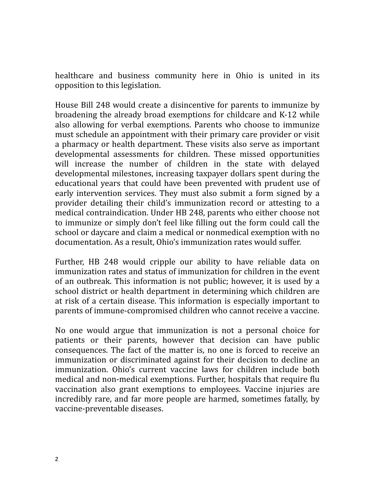healthcare and business community here in Ohio is united in its opposition to this legislation.

House Bill 248 would create a disincentive for parents to immunize by broadening the already broad exemptions for childcare and K-12 while also allowing for verbal exemptions. Parents who choose to immunize must schedule an appointment with their primary care provider or visit a pharmacy or health department. These visits also serve as important developmental assessments for children. These missed opportunities will increase the number of children in the state with delayed developmental milestones, increasing taxpayer dollars spent during the educational years that could have been prevented with prudent use of early intervention services. They must also submit a form signed by a provider detailing their child's immunization record or attesting to a medical contraindication. Under HB 248, parents who either choose not to immunize or simply don't feel like filling out the form could call the school or daycare and claim a medical or nonmedical exemption with no documentation. As a result, Ohio's immunization rates would suffer.

Further, HB 248 would cripple our ability to have reliable data on immunization rates and status of immunization for children in the event of an outbreak. This information is not public; however, it is used by a school district or health department in determining which children are at risk of a certain disease. This information is especially important to parents of immune-compromised children who cannot receive a vaccine.

No one would argue that immunization is not a personal choice for patients or their parents, however that decision can have public consequences. The fact of the matter is, no one is forced to receive an immunization or discriminated against for their decision to decline an immunization. Ohio's current vaccine laws for children include both medical and non-medical exemptions. Further, hospitals that require flu vaccination also grant exemptions to employees. Vaccine injuries are incredibly rare, and far more people are harmed, sometimes fatally, by vaccine-preventable diseases.